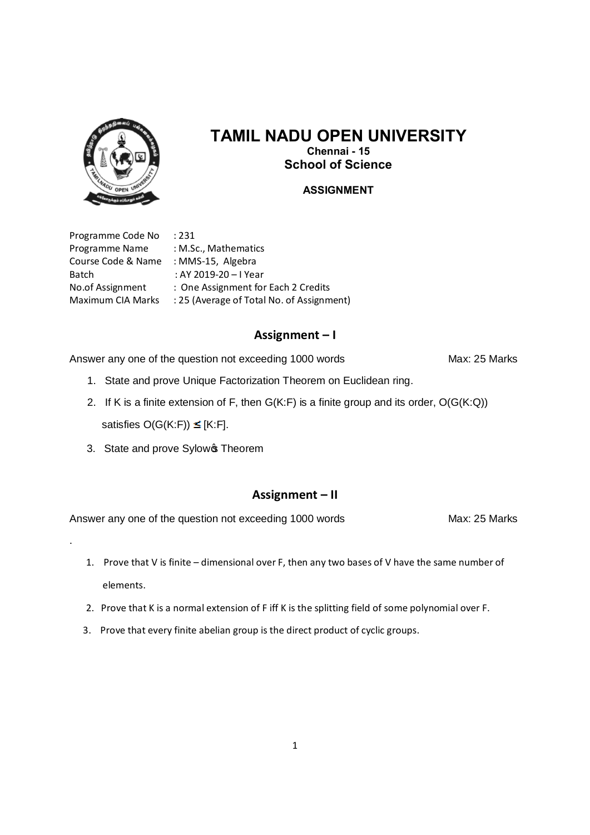

# **TAMIL NADU OPEN UNIVERSITY Chennai - 15 School of Science**

### **ASSIGNMENT**

Programme Code No : 231 Programme Name : M.Sc., Mathematics Course Code & Name : MMS-15, Algebra Batch : AY 2019-20 – I Year

.

No.of Assignment : One Assignment for Each 2 Credits Maximum CIA Marks : 25 (Average of Total No. of Assignment)

### **Assignment – I**

Answer any one of the question not exceeding 1000 words Max: 25 Marks

- 1. State and prove Unique Factorization Theorem on Euclidean ring.
- 2. If K is a finite extension of F, then  $G(K:F)$  is a finite group and its order,  $O(G(K:Q))$ satisfies  $O(G(K:F)) \leq [K:F]$ .
- 3. State and prove Sylow **Theorem**

# **Assignment – II**

- 1. Prove that V is finite dimensional over F, then any two bases of V have the same number of elements.
- 2. Prove that K is a normal extension of F iff K is the splitting field of some polynomial over F.
- 3. Prove that every finite abelian group is the direct product of cyclic groups.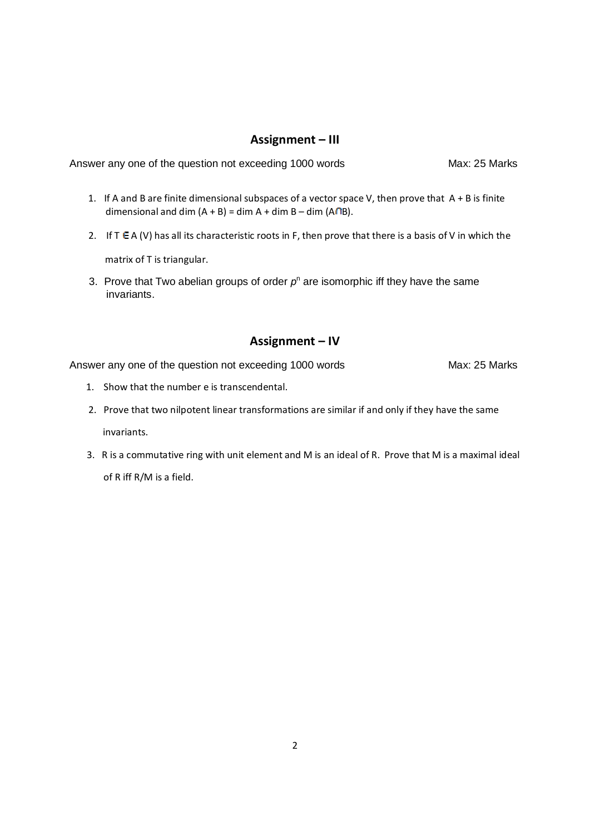### **Assignment – III**

Answer any one of the question not exceeding 1000 words Max: 25 Marks

- 1. If A and B are finite dimensional subspaces of a vector space V, then prove that  $A + B$  is finite dimensional and dim  $(A + B) =$  dim  $A +$  dim  $B -$  dim  $(A \cap B)$ .
- 2. If  $T \in A$  (V) has all its characteristic roots in F, then prove that there is a basis of V in which the matrix of T is triangular.
- 3. Prove that Two abelian groups of order  $p<sup>n</sup>$  are isomorphic iff they have the same invariants.

### **Assignment – IV**

- 1. Show that the number e is transcendental.
- 2. Prove that two nilpotent linear transformations are similar if and only if they have the same invariants.
- 3. R is a commutative ring with unit element and M is an ideal of R. Prove that M is a maximal ideal of R iff R/M is a field.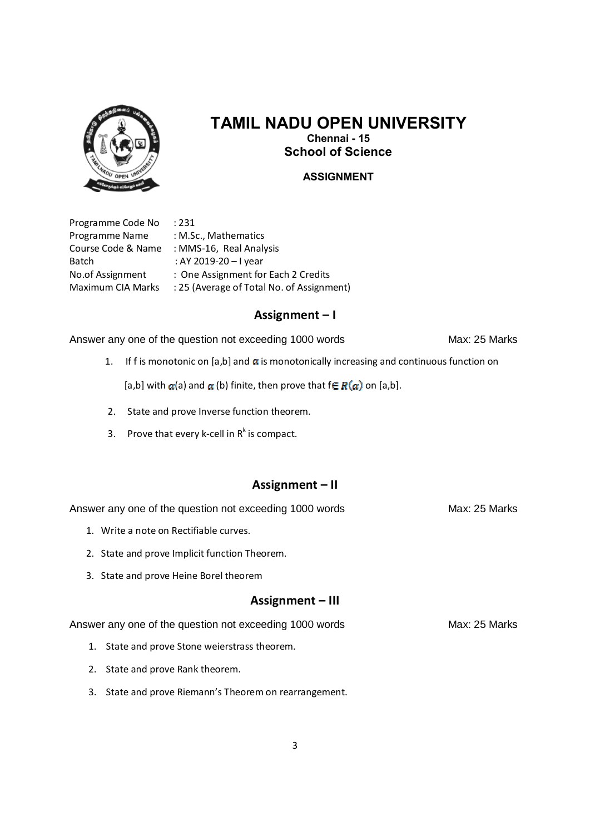

# **TAMIL NADU OPEN UNIVERSITY Chennai - 15 School of Science**

### **ASSIGNMENT**

Programme Code No : 231 Programme Name : M.Sc., Mathematics Batch : AY 2019-20 – I year

Course Code & Name : MMS-16, Real Analysis No.of Assignment : One Assignment for Each 2 Credits Maximum CIA Marks : 25 (Average of Total No. of Assignment)

### **Assignment – I**

Answer any one of the question not exceeding 1000 words Max: 25 Marks

1. If f is monotonic on [a,b] and  $\alpha$  is monotonically increasing and continuous function on

[a,b] with  $\alpha$ (a) and  $\alpha$  (b) finite, then prove that  $f \in R(\alpha)$  on [a,b].

- 2. State and prove Inverse function theorem.
- 3. Prove that every k-cell in  $R^k$  is compact.

## **Assignment – II**

Answer any one of the question not exceeding 1000 words Max: 25 Marks

- 1. Write a note on Rectifiable curves.
- 2. State and prove Implicit function Theorem.
- 3. State and prove Heine Borel theorem

### **Assignment – III**

- 1. State and prove Stone weierstrass theorem.
- 2. State and prove Rank theorem.
- 3. State and prove Riemann's Theorem on rearrangement.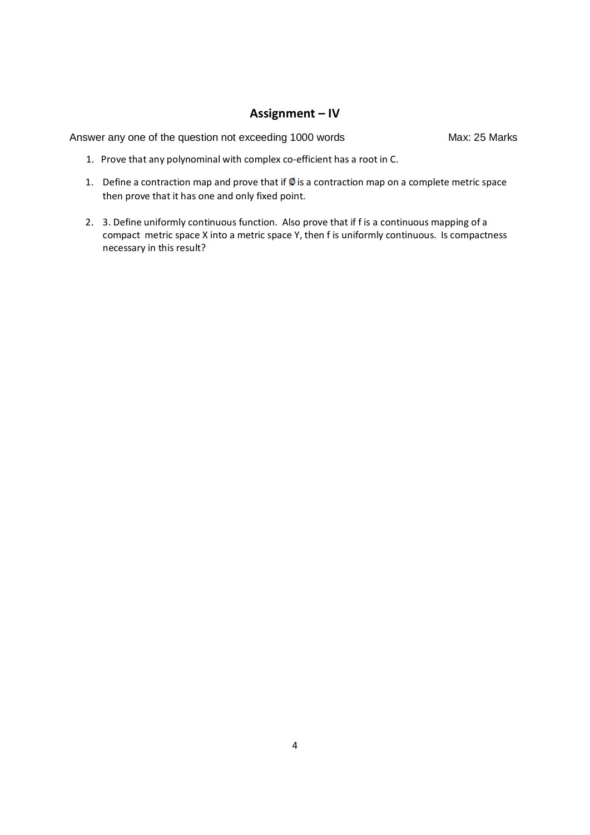## **Assignment – IV**

- 1. Prove that any polynominal with complex co-efficient has a root in C.
- 1. Define a contraction map and prove that if  $\emptyset$  is a contraction map on a complete metric space then prove that it has one and only fixed point.
- 2. 3. Define uniformly continuous function. Also prove that if f is a continuous mapping of a compact metric space X into a metric space Y, then f is uniformly continuous. Is compactness necessary in this result?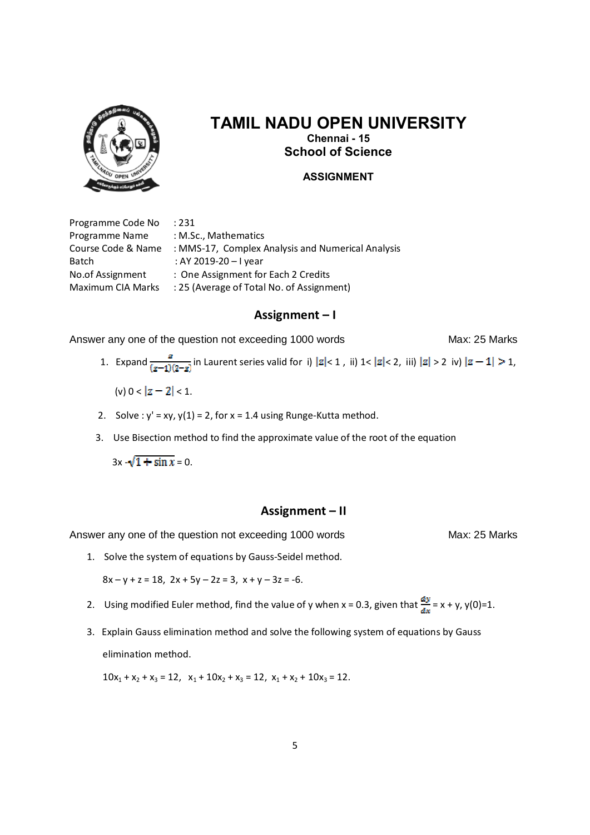

# **TAMIL NADU OPEN UNIVERSITY Chennai - 15**

**School of Science**

### **ASSIGNMENT**

Programme Code No : 231 Programme Name : M.Sc., Mathematics Batch : AY 2019-20 – I year

Course Code & Name : MMS-17, Complex Analysis and Numerical Analysis No.of Assignment : One Assignment for Each 2 Credits Maximum CIA Marks : 25 (Average of Total No. of Assignment)

### **Assignment – I**

Answer any one of the question not exceeding 1000 words Max: 25 Marks

- 1. Expand  $\frac{z}{(z-1)(z-z)}$  in Laurent series valid for i)  $|z| < 1$ , ii)  $1 < |z| < 2$ , iii)  $|z| > 2$  iv)  $|z-1| > 1$ ,
	- (v)  $0 < |z 2| < 1$ .
- 2. Solve :  $y' = xy$ ,  $y(1) = 2$ , for  $x = 1.4$  using Runge-Kutta method.
- 3. Use Bisection method to find the approximate value of the root of the equation

 $3x - \sqrt{1 + \sin x} = 0$ .

### **Assignment – II**

Answer any one of the question not exceeding 1000 words Max: 25 Marks

- 1. Solve the system of equations by Gauss-Seidel method.  $8x - y + z = 18$ ,  $2x + 5y - 2z = 3$ ,  $x + y - 3z = -6$ .
- 2. Using modified Euler method, find the value of y when x = 0.3, given that  $\frac{dy}{dx} = x + y$ , y(0)=1.
- 3. Explain Gauss elimination method and solve the following system of equations by Gauss elimination method.

 $10x_1 + x_2 + x_3 = 12$ ,  $x_1 + 10x_2 + x_3 = 12$ ,  $x_1 + x_2 + 10x_3 = 12$ .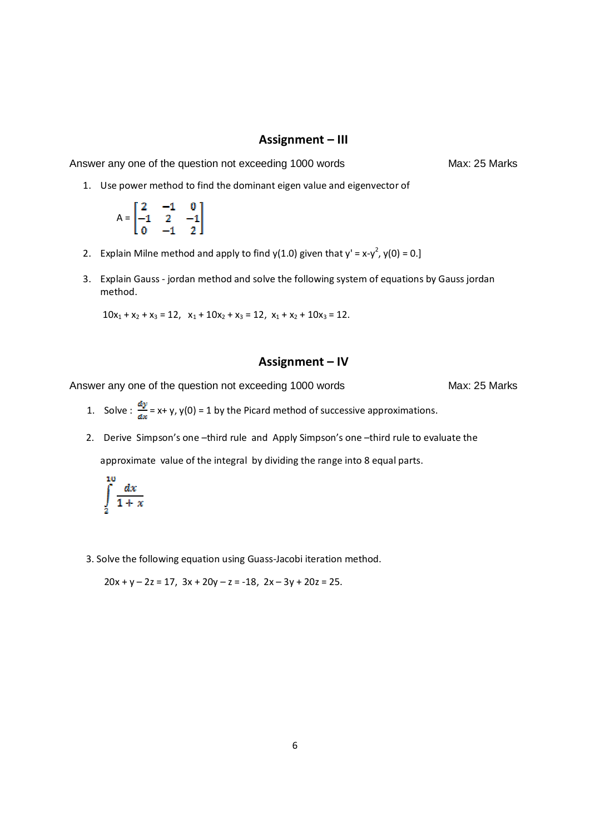### **Assignment – III**

Answer any one of the question not exceeding 1000 words Max: 25 Marks

1. Use power method to find the dominant eigen value and eigenvector of

$$
A = \begin{bmatrix} 2 & -1 & 0 \\ -1 & 2 & -1 \\ 0 & -1 & 2 \end{bmatrix}
$$

- 2. Explain Milne method and apply to find  $y(1.0)$  given that  $y' = x-y^2$ ,  $y(0) = 0$ .]
- 3. Explain Gauss jordan method and solve the following system of equations by Gauss jordan method.

 $10x_1 + x_2 + x_3 = 12$ ,  $x_1 + 10x_2 + x_3 = 12$ ,  $x_1 + x_2 + 10x_3 = 12$ .

### **Assignment – IV**

Answer any one of the question not exceeding 1000 words Max: 25 Marks

- 1. Solve :  $\frac{dy}{dx}$  = x+ y, y(0) = 1 by the Picard method of successive approximations.
- 2. Derive Simpson's one –third rule and Apply Simpson's one –third rule to evaluate the approximate value of the integral by dividing the range into 8 equal parts.

$$
\int\limits_{2}^{\infty}\frac{dx}{1+x}
$$

a<br>Sama

3. Solve the following equation using Guass-Jacobi iteration method.

 $20x + y - 2z = 17$ ,  $3x + 20y - z = -18$ ,  $2x - 3y + 20z = 25$ .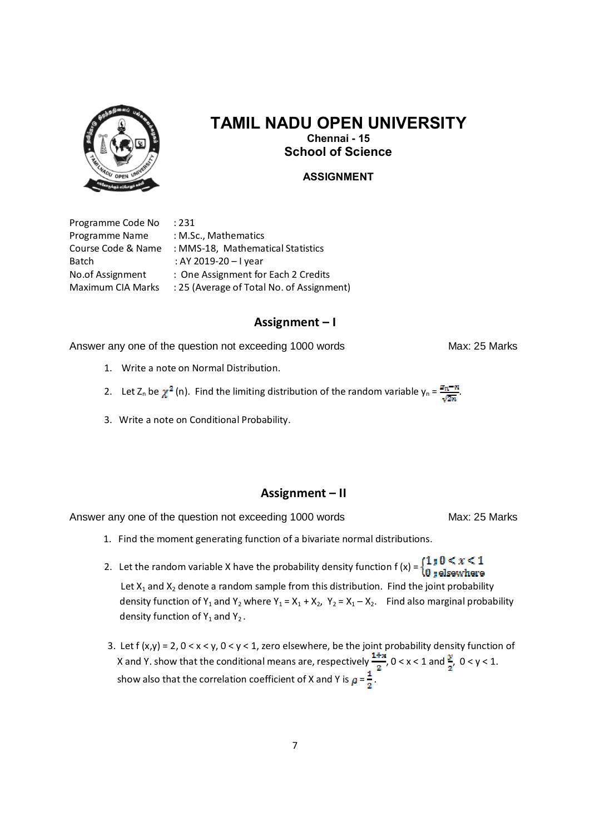

# **TAMIL NADU OPEN UNIVERSITY Chennai - 15 School of Science**

**ASSIGNMENT**

Programme Code No : 231 Programme Name : M.Sc., Mathematics Batch : AY 2019-20 – I year

Course Code & Name : MMS-18, Mathematical Statistics No.of Assignment : One Assignment for Each 2 Credits Maximum CIA Marks : 25 (Average of Total No. of Assignment)

# **Assignment – I**

Answer any one of the question not exceeding 1000 words Max: 25 Marks

- 1. Write a note on Normal Distribution.
- 2. Let Z<sub>n</sub> be  $\chi^2$  (n). Find the limiting distribution of the random variable  $y_n = \frac{a_n n}{\sqrt{2m}}$ .
- 3. Write a note on Conditional Probability.

## **Assignment – II**

Answer any one of the question not exceeding 1000 words Max: 25 Marks

1. Find the moment generating function of a bivariate normal distributions.

2. Let the random variable X have the probability density function  $f(x) = \begin{cases} 1 & \text{if } 0 < x < 1 \\ 0 & \text{elsewhere} \end{cases}$ 

Let  $X_1$  and  $X_2$  denote a random sample from this distribution. Find the joint probability density function of Y<sub>1</sub> and Y<sub>2</sub> where Y<sub>1</sub> = X<sub>1</sub> + X<sub>2</sub>, Y<sub>2</sub> = X<sub>1</sub> - X<sub>2</sub>. Find also marginal probability density function of  $Y_1$  and  $Y_2$ .

3. Let  $f(x,y) = 2$ ,  $0 < x < y$ ,  $0 < y < 1$ , zero elsewhere, be the joint probability density function of X and Y. show that the conditional means are, respectively  $\frac{1+x}{2}$ ,  $0 < x < 1$  and  $\frac{y}{2}$ ,  $0 < y < 1$ . show also that the correlation coefficient of X and Y is  $p = \frac{1}{2}$